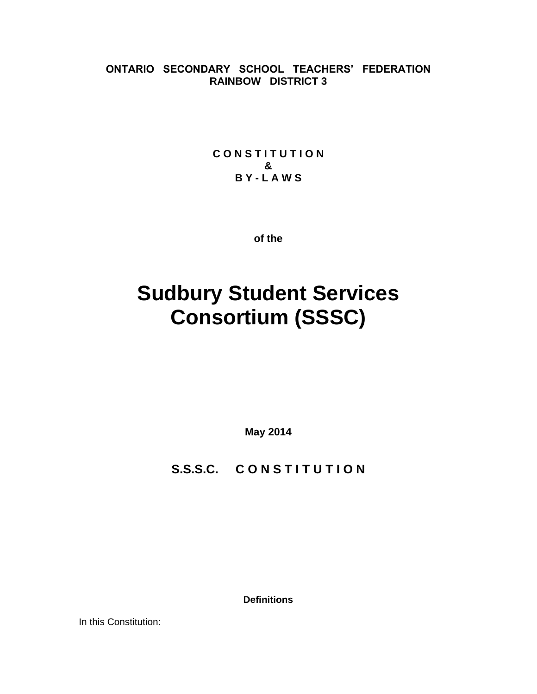**ONTARIO SECONDARY SCHOOL TEACHERS' FEDERATION RAINBOW DISTRICT 3**

> **C O N S T I T U T I O N & B Y - L A W S**

> > **of the**

# **Sudbury Student Services Consortium (SSSC)**

**May 2014**

S.S.S.C. CONSTITUTION

**Definitions**

In this Constitution: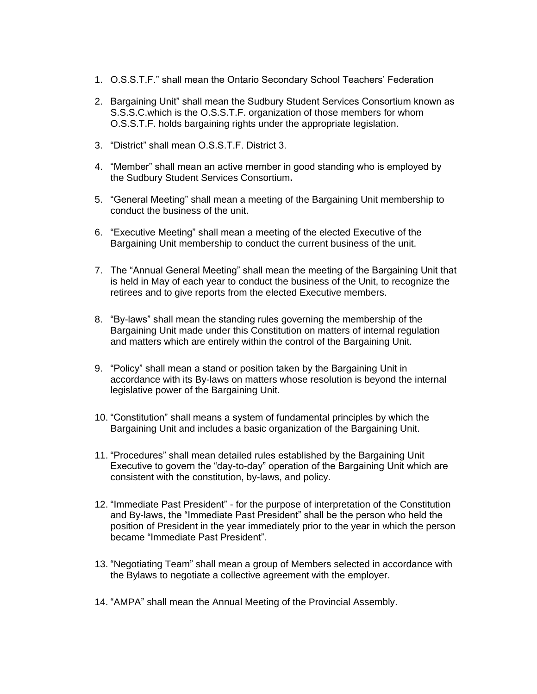- 1. O.S.S.T.F." shall mean the Ontario Secondary School Teachers' Federation
- 2. Bargaining Unit" shall mean the Sudbury Student Services Consortium known as S.S.S.C.which is the O.S.S.T.F. organization of those members for whom O.S.S.T.F. holds bargaining rights under the appropriate legislation.
- 3. "District" shall mean O.S.S.T.F. District 3.
- 4. "Member" shall mean an active member in good standing who is employed by the Sudbury Student Services Consortium**.**
- 5. "General Meeting" shall mean a meeting of the Bargaining Unit membership to conduct the business of the unit.
- 6. "Executive Meeting" shall mean a meeting of the elected Executive of the Bargaining Unit membership to conduct the current business of the unit.
- 7. The "Annual General Meeting" shall mean the meeting of the Bargaining Unit that is held in May of each year to conduct the business of the Unit, to recognize the retirees and to give reports from the elected Executive members.
- 8. "By-laws" shall mean the standing rules governing the membership of the Bargaining Unit made under this Constitution on matters of internal regulation and matters which are entirely within the control of the Bargaining Unit.
- 9. "Policy" shall mean a stand or position taken by the Bargaining Unit in accordance with its By-laws on matters whose resolution is beyond the internal legislative power of the Bargaining Unit.
- 10. "Constitution" shall means a system of fundamental principles by which the Bargaining Unit and includes a basic organization of the Bargaining Unit.
- 11. "Procedures" shall mean detailed rules established by the Bargaining Unit Executive to govern the "day-to-day" operation of the Bargaining Unit which are consistent with the constitution, by-laws, and policy.
- 12. "Immediate Past President" for the purpose of interpretation of the Constitution and By-laws, the "Immediate Past President" shall be the person who held the position of President in the year immediately prior to the year in which the person became "Immediate Past President".
- 13. "Negotiating Team" shall mean a group of Members selected in accordance with the Bylaws to negotiate a collective agreement with the employer.
- 14. "AMPA" shall mean the Annual Meeting of the Provincial Assembly.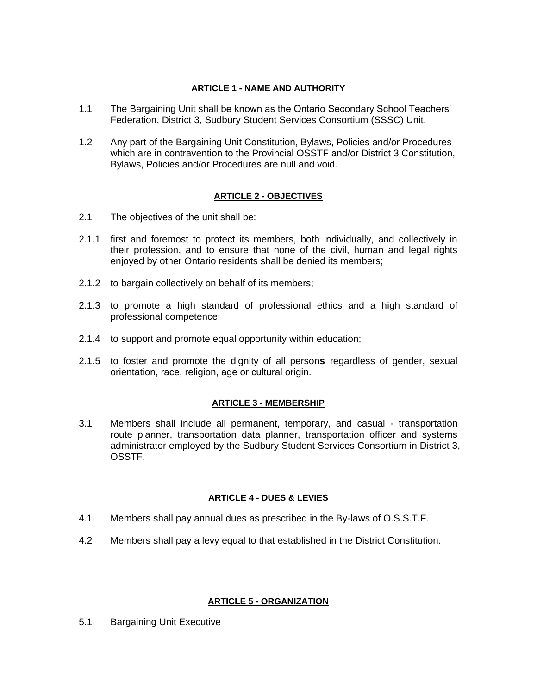## **ARTICLE 1 - NAME AND AUTHORITY**

- 1.1 The Bargaining Unit shall be known as the Ontario Secondary School Teachers' Federation, District 3, Sudbury Student Services Consortium (SSSC) Unit.
- 1.2 Any part of the Bargaining Unit Constitution, Bylaws, Policies and/or Procedures which are in contravention to the Provincial OSSTF and/or District 3 Constitution, Bylaws, Policies and/or Procedures are null and void.

# **ARTICLE 2 - OBJECTIVES**

- 2.1 The objectives of the unit shall be:
- 2.1.1 first and foremost to protect its members, both individually, and collectively in their profession, and to ensure that none of the civil, human and legal rights enjoyed by other Ontario residents shall be denied its members;
- 2.1.2 to bargain collectively on behalf of its members;
- 2.1.3 to promote a high standard of professional ethics and a high standard of professional competence;
- 2.1.4 to support and promote equal opportunity within education;
- 2.1.5 to foster and promote the dignity of all person**s** regardless of gender, sexual orientation, race, religion, age or cultural origin.

# **ARTICLE 3 - MEMBERSHIP**

3.1 Members shall include all permanent, temporary, and casual - transportation route planner, transportation data planner, transportation officer and systems administrator employed by the Sudbury Student Services Consortium in District 3, OSSTF.

### **ARTICLE 4 - DUES & LEVIES**

- 4.1 Members shall pay annual dues as prescribed in the By-laws of O.S.S.T.F.
- 4.2 Members shall pay a levy equal to that established in the District Constitution.

### **ARTICLE 5 - ORGANIZATION**

5.1 Bargaining Unit Executive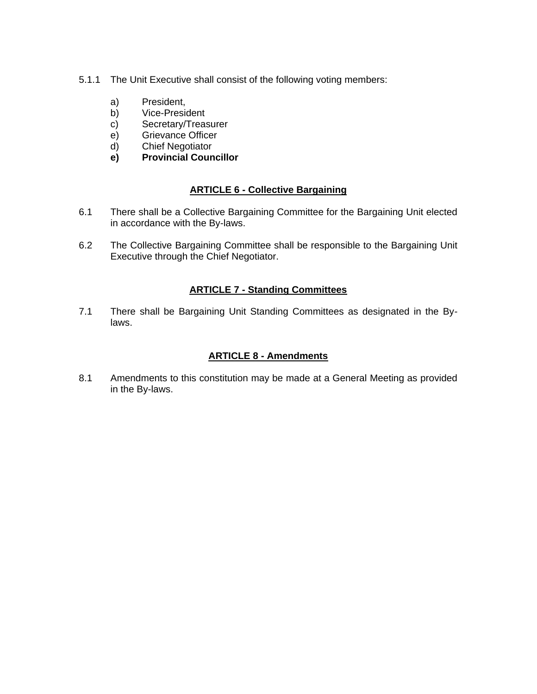- 5.1.1 The Unit Executive shall consist of the following voting members:
	- a) President,
	- b) Vice-President
	- c) Secretary/Treasurer
	- e) Grievance Officer
	- d) Chief Negotiator
	- **e) Provincial Councillor**

# **ARTICLE 6 - Collective Bargaining**

- 6.1 There shall be a Collective Bargaining Committee for the Bargaining Unit elected in accordance with the By-laws.
- 6.2 The Collective Bargaining Committee shall be responsible to the Bargaining Unit Executive through the Chief Negotiator.

# **ARTICLE 7 - Standing Committees**

7.1 There shall be Bargaining Unit Standing Committees as designated in the Bylaws.

# **ARTICLE 8 - Amendments**

8.1 Amendments to this constitution may be made at a General Meeting as provided in the By-laws.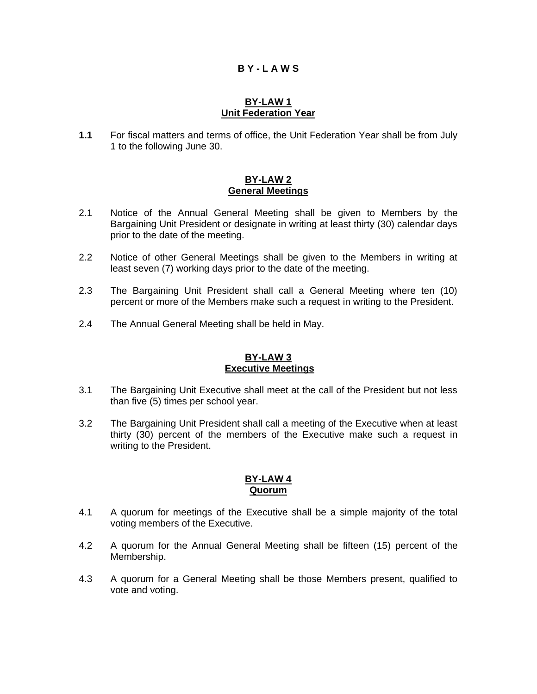# **B Y - L A W S**

#### **BY-LAW 1 Unit Federation Year**

**1.1** For fiscal matters and terms of office, the Unit Federation Year shall be from July 1 to the following June 30.

#### **BY-LAW 2 General Meetings**

- 2.1 Notice of the Annual General Meeting shall be given to Members by the Bargaining Unit President or designate in writing at least thirty (30) calendar days prior to the date of the meeting.
- 2.2 Notice of other General Meetings shall be given to the Members in writing at least seven (7) working days prior to the date of the meeting.
- 2.3 The Bargaining Unit President shall call a General Meeting where ten (10) percent or more of the Members make such a request in writing to the President.
- 2.4 The Annual General Meeting shall be held in May.

# **BY-LAW 3 Executive Meetings**

- 3.1 The Bargaining Unit Executive shall meet at the call of the President but not less than five (5) times per school year.
- 3.2 The Bargaining Unit President shall call a meeting of the Executive when at least thirty (30) percent of the members of the Executive make such a request in writing to the President.

# **BY-LAW 4 Quorum**

- 4.1 A quorum for meetings of the Executive shall be a simple majority of the total voting members of the Executive.
- 4.2 A quorum for the Annual General Meeting shall be fifteen (15) percent of the Membership.
- 4.3 A quorum for a General Meeting shall be those Members present, qualified to vote and voting.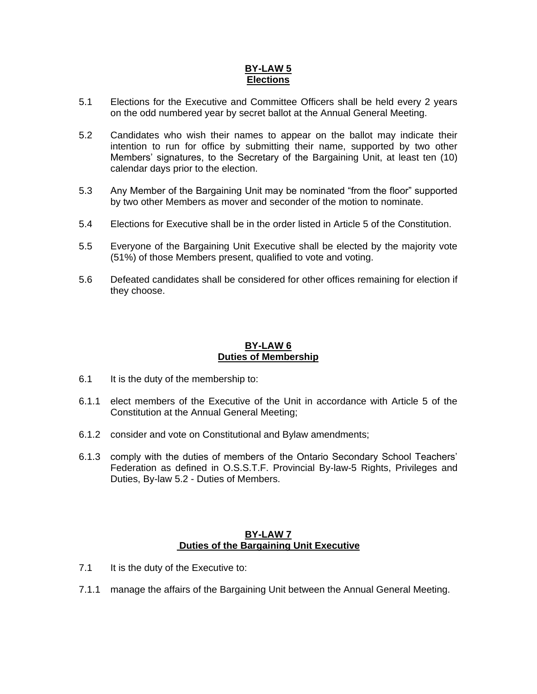## **BY-LAW 5 Elections**

- 5.1 Elections for the Executive and Committee Officers shall be held every 2 years on the odd numbered year by secret ballot at the Annual General Meeting.
- 5.2 Candidates who wish their names to appear on the ballot may indicate their intention to run for office by submitting their name, supported by two other Members' signatures, to the Secretary of the Bargaining Unit, at least ten (10) calendar days prior to the election.
- 5.3 Any Member of the Bargaining Unit may be nominated "from the floor" supported by two other Members as mover and seconder of the motion to nominate.
- 5.4 Elections for Executive shall be in the order listed in Article 5 of the Constitution.
- 5.5 Everyone of the Bargaining Unit Executive shall be elected by the majority vote (51%) of those Members present, qualified to vote and voting.
- 5.6 Defeated candidates shall be considered for other offices remaining for election if they choose.

# **BY-LAW 6 Duties of Membership**

- 6.1 It is the duty of the membership to:
- 6.1.1 elect members of the Executive of the Unit in accordance with Article 5 of the Constitution at the Annual General Meeting;
- 6.1.2 consider and vote on Constitutional and Bylaw amendments;
- 6.1.3 comply with the duties of members of the Ontario Secondary School Teachers' Federation as defined in O.S.S.T.F. Provincial By-law-5 Rights, Privileges and Duties, By-law 5.2 - Duties of Members.

## **BY-LAW 7 Duties of the Bargaining Unit Executive**

- 7.1 It is the duty of the Executive to:
- 7.1.1 manage the affairs of the Bargaining Unit between the Annual General Meeting.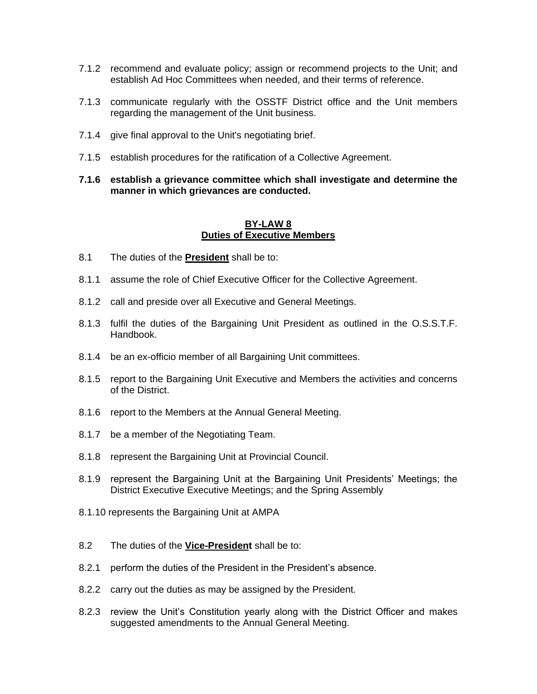- 7.1.2 recommend and evaluate policy; assign or recommend projects to the Unit; and establish Ad Hoc Committees when needed, and their terms of reference.
- 7.1.3 communicate regularly with the OSSTF District office and the Unit members regarding the management of the Unit business.
- 7.1.4 give final approval to the Unit's negotiating brief.
- 7.1.5 establish procedures for the ratification of a Collective Agreement.
- **7.1.6 establish a grievance committee which shall investigate and determine the manner in which grievances are conducted.**

#### **BY-LAW 8 Duties of Executive Members**

- 8.1 The duties of the **President** shall be to:
- 8.1.1 assume the role of Chief Executive Officer for the Collective Agreement.
- 8.1.2 call and preside over all Executive and General Meetings.
- 8.1.3 fulfil the duties of the Bargaining Unit President as outlined in the O.S.S.T.F. Handbook.
- 8.1.4 be an ex-officio member of all Bargaining Unit committees.
- 8.1.5 report to the Bargaining Unit Executive and Members the activities and concerns of the District.
- 8.1.6 report to the Members at the Annual General Meeting.
- 8.1.7 be a member of the Negotiating Team.
- 8.1.8 represent the Bargaining Unit at Provincial Council.
- 8.1.9 represent the Bargaining Unit at the Bargaining Unit Presidents' Meetings; the District Executive Executive Meetings; and the Spring Assembly
- 8.1.10 represents the Bargaining Unit at AMPA
- 8.2 The duties of the **Vice-President** shall be to:
- 8.2.1 perform the duties of the President in the President's absence.
- 8.2.2 carry out the duties as may be assigned by the President.
- 8.2.3 review the Unit's Constitution yearly along with the District Officer and makes suggested amendments to the Annual General Meeting.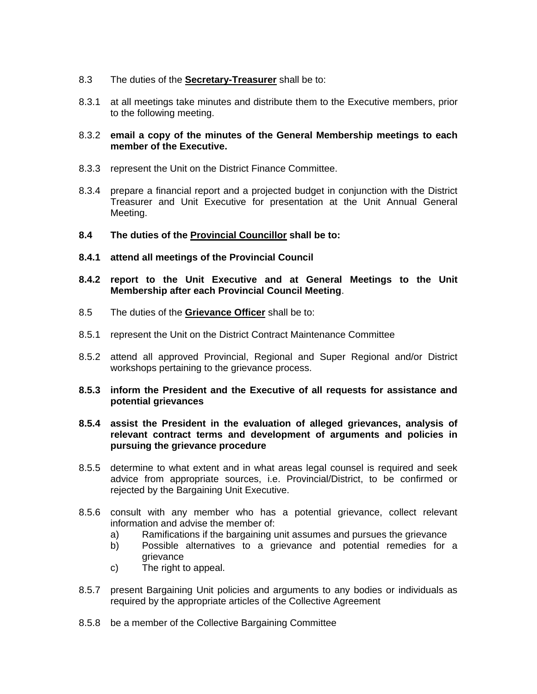- 8.3 The duties of the **Secretary-Treasurer** shall be to:
- 8.3.1 at all meetings take minutes and distribute them to the Executive members, prior to the following meeting.
- 8.3.2 **email a copy of the minutes of the General Membership meetings to each member of the Executive.**
- 8.3.3 represent the Unit on the District Finance Committee.
- 8.3.4 prepare a financial report and a projected budget in conjunction with the District Treasurer and Unit Executive for presentation at the Unit Annual General Meeting.
- **8.4 The duties of the Provincial Councillor shall be to:**
- **8.4.1 attend all meetings of the Provincial Council**
- **8.4.2 report to the Unit Executive and at General Meetings to the Unit Membership after each Provincial Council Meeting**.
- 8.5 The duties of the **Grievance Officer** shall be to:
- 8.5.1 represent the Unit on the District Contract Maintenance Committee
- 8.5.2 attend all approved Provincial, Regional and Super Regional and/or District workshops pertaining to the grievance process.
- **8.5.3 inform the President and the Executive of all requests for assistance and potential grievances**
- **8.5.4 assist the President in the evaluation of alleged grievances, analysis of relevant contract terms and development of arguments and policies in pursuing the grievance procedure**
- 8.5.5 determine to what extent and in what areas legal counsel is required and seek advice from appropriate sources, i.e. Provincial/District, to be confirmed or rejected by the Bargaining Unit Executive.
- 8.5.6 consult with any member who has a potential grievance, collect relevant information and advise the member of:
	- a) Ramifications if the bargaining unit assumes and pursues the grievance
	- b) Possible alternatives to a grievance and potential remedies for a grievance
	- c) The right to appeal.
- 8.5.7 present Bargaining Unit policies and arguments to any bodies or individuals as required by the appropriate articles of the Collective Agreement
- 8.5.8 be a member of the Collective Bargaining Committee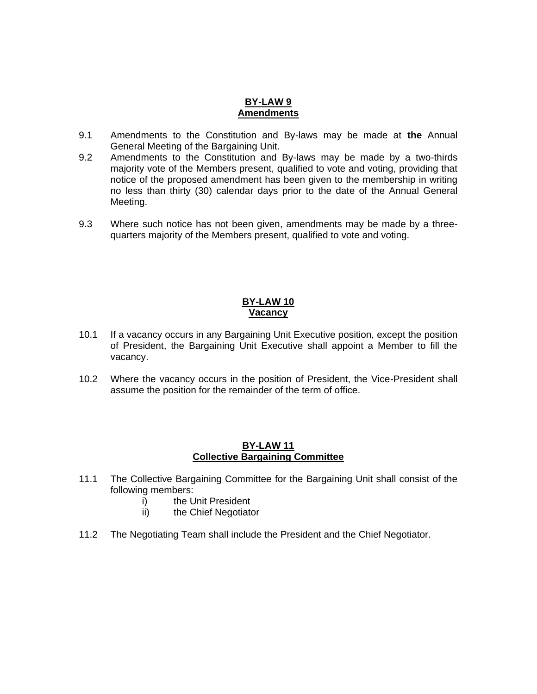## **BY-LAW 9 Amendments**

- 9.1 Amendments to the Constitution and By-laws may be made at **the** Annual General Meeting of the Bargaining Unit.
- 9.2 Amendments to the Constitution and By-laws may be made by a two-thirds majority vote of the Members present, qualified to vote and voting, providing that notice of the proposed amendment has been given to the membership in writing no less than thirty (30) calendar days prior to the date of the Annual General Meeting.
- 9.3 Where such notice has not been given, amendments may be made by a threequarters majority of the Members present, qualified to vote and voting.

#### **BY-LAW 10 Vacancy**

- 10.1 If a vacancy occurs in any Bargaining Unit Executive position, except the position of President, the Bargaining Unit Executive shall appoint a Member to fill the vacancy.
- 10.2 Where the vacancy occurs in the position of President, the Vice-President shall assume the position for the remainder of the term of office.

## **BY-LAW 11 Collective Bargaining Committee**

- 11.1 The Collective Bargaining Committee for the Bargaining Unit shall consist of the following members:
	- i) the Unit President
	- ii) the Chief Negotiator
- 11.2 The Negotiating Team shall include the President and the Chief Negotiator.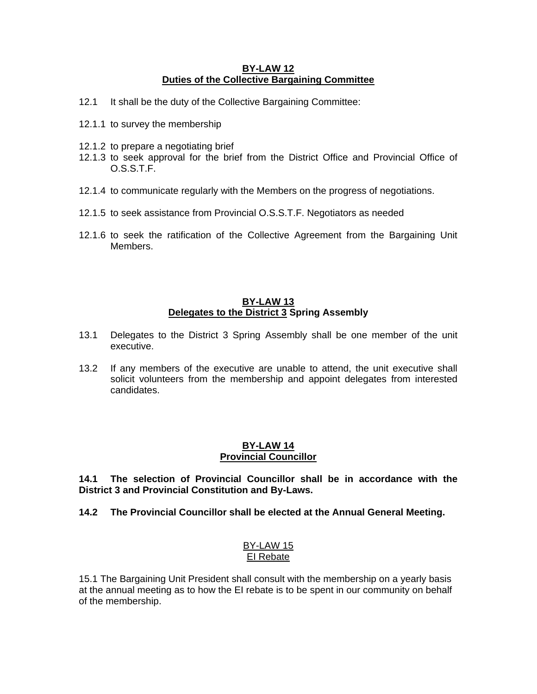#### **BY-LAW 12 Duties of the Collective Bargaining Committee**

- 12.1 It shall be the duty of the Collective Bargaining Committee:
- 12.1.1 to survey the membership
- 12.1.2 to prepare a negotiating brief
- 12.1.3 to seek approval for the brief from the District Office and Provincial Office of O.S.S.T.F.
- 12.1.4 to communicate regularly with the Members on the progress of negotiations.
- 12.1.5 to seek assistance from Provincial O.S.S.T.F. Negotiators as needed
- 12.1.6 to seek the ratification of the Collective Agreement from the Bargaining Unit Members.

## **BY-LAW 13 Delegates to the District 3 Spring Assembly**

- 13.1 Delegates to the District 3 Spring Assembly shall be one member of the unit executive.
- 13.2 If any members of the executive are unable to attend, the unit executive shall solicit volunteers from the membership and appoint delegates from interested candidates.

### **BY-LAW 14 Provincial Councillor**

**14.1 The selection of Provincial Councillor shall be in accordance with the District 3 and Provincial Constitution and By-Laws.**

# **14.2 The Provincial Councillor shall be elected at the Annual General Meeting.**

### BY-LAW 15 EI Rebate

15.1 The Bargaining Unit President shall consult with the membership on a yearly basis at the annual meeting as to how the EI rebate is to be spent in our community on behalf of the membership.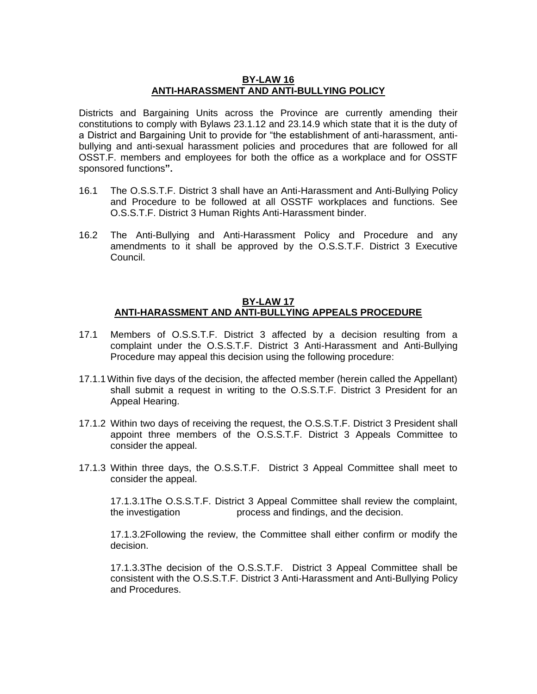#### **BY-LAW 16 ANTI-HARASSMENT AND ANTI-BULLYING POLICY**

Districts and Bargaining Units across the Province are currently amending their constitutions to comply with Bylaws 23.1.12 and 23.14.9 which state that it is the duty of a District and Bargaining Unit to provide for "the establishment of anti-harassment, antibullying and anti-sexual harassment policies and procedures that are followed for all OSST.F. members and employees for both the office as a workplace and for OSSTF sponsored functions**".**

- 16.1 The O.S.S.T.F. District 3 shall have an Anti-Harassment and Anti-Bullying Policy and Procedure to be followed at all OSSTF workplaces and functions. See O.S.S.T.F. District 3 Human Rights Anti-Harassment binder.
- 16.2 The Anti-Bullying and Anti-Harassment Policy and Procedure and any amendments to it shall be approved by the O.S.S.T.F. District 3 Executive Council.

## **BY-LAW 17 ANTI-HARASSMENT AND ANTI-BULLYING APPEALS PROCEDURE**

- 17.1 Members of O.S.S.T.F. District 3 affected by a decision resulting from a complaint under the O.S.S.T.F. District 3 Anti-Harassment and Anti-Bullying Procedure may appeal this decision using the following procedure:
- 17.1.1 Within five days of the decision, the affected member (herein called the Appellant) shall submit a request in writing to the O.S.S.T.F. District 3 President for an Appeal Hearing.
- 17.1.2 Within two days of receiving the request, the O.S.S.T.F. District 3 President shall appoint three members of the O.S.S.T.F. District 3 Appeals Committee to consider the appeal.
- 17.1.3 Within three days, the O.S.S.T.F. District 3 Appeal Committee shall meet to consider the appeal.

17.1.3.1The O.S.S.T.F. District 3 Appeal Committee shall review the complaint, the investigation process and findings, and the decision.

17.1.3.2Following the review, the Committee shall either confirm or modify the decision.

17.1.3.3The decision of the O.S.S.T.F. District 3 Appeal Committee shall be consistent with the O.S.S.T.F. District 3 Anti-Harassment and Anti-Bullying Policy and Procedures.